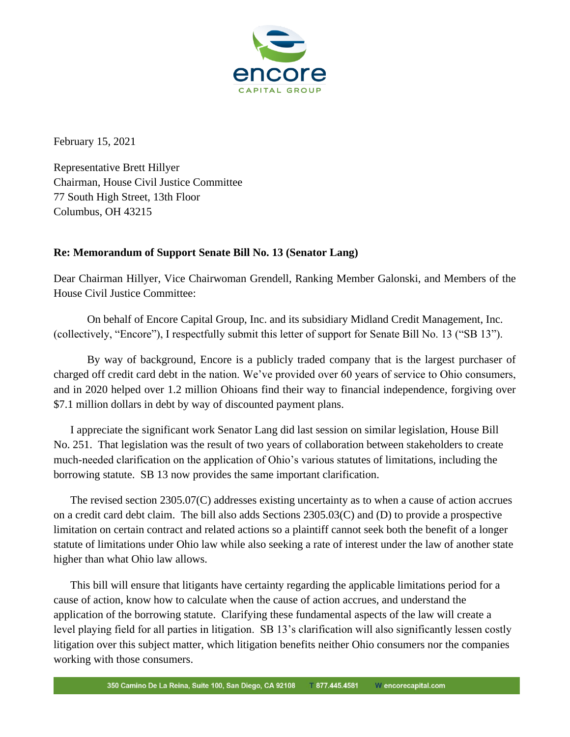

February 15, 2021

Representative Brett Hillyer Chairman, House Civil Justice Committee 77 South High Street, 13th Floor Columbus, OH 43215

## **Re: Memorandum of Support Senate Bill No. 13 (Senator Lang)**

Dear Chairman [Hillyer,](https://ohiosenate.gov/senators/manning) Vice Chairwoman [Gr](https://ohiosenate.gov/senators/mccolley)endell, Ranking Member [Galonski,](https://ohiosenate.gov/senators/thomas) and Members of the House Civil Justice Committee:

On behalf of Encore Capital Group, Inc. and its subsidiary Midland Credit Management, Inc. (collectively, "Encore"), I respectfully submit this letter of support for Senate Bill No. 13 ("SB 13").

By way of background, Encore is a publicly traded company that is the largest purchaser of charged off credit card debt in the nation. We've provided over 60 years of service to Ohio consumers, and in 2020 helped over 1.2 million Ohioans find their way to financial independence, forgiving over \$7.1 million dollars in debt by way of discounted payment plans.

I appreciate the significant work Senator Lang did last session on similar legislation, House Bill No. 251. That legislation was the result of two years of collaboration between stakeholders to create much-needed clarification on the application of Ohio's various statutes of limitations, including the borrowing statute. SB 13 now provides the same important clarification.

The revised section 2305.07(C) addresses existing uncertainty as to when a cause of action accrues on a credit card debt claim. The bill also adds Sections 2305.03(C) and (D) to provide a prospective limitation on certain contract and related actions so a plaintiff cannot seek both the benefit of a longer statute of limitations under Ohio law while also seeking a rate of interest under the law of another state higher than what Ohio law allows.

This bill will ensure that litigants have certainty regarding the applicable limitations period for a cause of action, know how to calculate when the cause of action accrues, and understand the application of the borrowing statute. Clarifying these fundamental aspects of the law will create a level playing field for all parties in litigation. SB 13's clarification will also significantly lessen costly litigation over this subject matter, which litigation benefits neither Ohio consumers nor the companies working with those consumers.